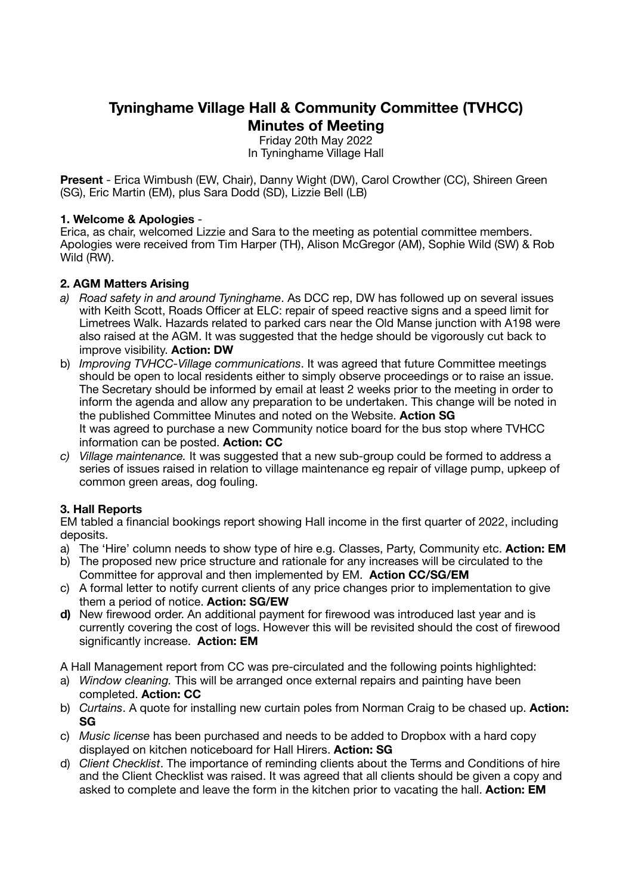# **Tyninghame Village Hall & Community Committee (TVHCC) Minutes of Meeting**

Friday 20th May 2022 In Tyninghame Village Hall

**Present** - Erica Wimbush (EW, Chair), Danny Wight (DW), Carol Crowther (CC), Shireen Green (SG), Eric Martin (EM), plus Sara Dodd (SD), Lizzie Bell (LB)

#### **1. Welcome & Apologies** -

Erica, as chair, welcomed Lizzie and Sara to the meeting as potential committee members. Apologies were received from Tim Harper (TH), Alison McGregor (AM), Sophie Wild (SW) & Rob Wild (RW).

### **2. AGM Matters Arising**

- *a) Road safety in and around Tyninghame*. As DCC rep, DW has followed up on several issues with Keith Scott, Roads Officer at ELC: repair of speed reactive signs and a speed limit for Limetrees Walk. Hazards related to parked cars near the Old Manse junction with A198 were also raised at the AGM. It was suggested that the hedge should be vigorously cut back to improve visibility. **Action: DW**
- b) *Improving TVHCC-Village communications*. It was agreed that future Committee meetings should be open to local residents either to simply observe proceedings or to raise an issue. The Secretary should be informed by email at least 2 weeks prior to the meeting in order to inform the agenda and allow any preparation to be undertaken. This change will be noted in the published Committee Minutes and noted on the Website. **Action SG** It was agreed to purchase a new Community notice board for the bus stop where TVHCC information can be posted. **Action: CC**
- *c) Village maintenance.* It was suggested that a new sub-group could be formed to address a series of issues raised in relation to village maintenance eg repair of village pump, upkeep of common green areas, dog fouling.

## **3. Hall Reports**

EM tabled a financial bookings report showing Hall income in the first quarter of 2022, including deposits.

- a) The 'Hire' column needs to show type of hire e.g. Classes, Party, Community etc. **Action: EM**
- b) The proposed new price structure and rationale for any increases will be circulated to the Committee for approval and then implemented by EM. **Action CC/SG/EM**
- c) A formal letter to notify current clients of any price changes prior to implementation to give them a period of notice. **Action: SG/EW**
- **d)** New firewood order. An additional payment for firewood was introduced last year and is currently covering the cost of logs. However this will be revisited should the cost of firewood significantly increase. **Action: EM**

A Hall Management report from CC was pre-circulated and the following points highlighted:

- a) *Window cleaning.* This will be arranged once external repairs and painting have been completed. **Action: CC**
- b) *Curtains*. A quote for installing new curtain poles from Norman Craig to be chased up. **Action: SG**
- c) *Music license* has been purchased and needs to be added to Dropbox with a hard copy displayed on kitchen noticeboard for Hall Hirers. **Action: SG**
- d) *Client Checklist*. The importance of reminding clients about the Terms and Conditions of hire and the Client Checklist was raised. It was agreed that all clients should be given a copy and asked to complete and leave the form in the kitchen prior to vacating the hall. **Action: EM**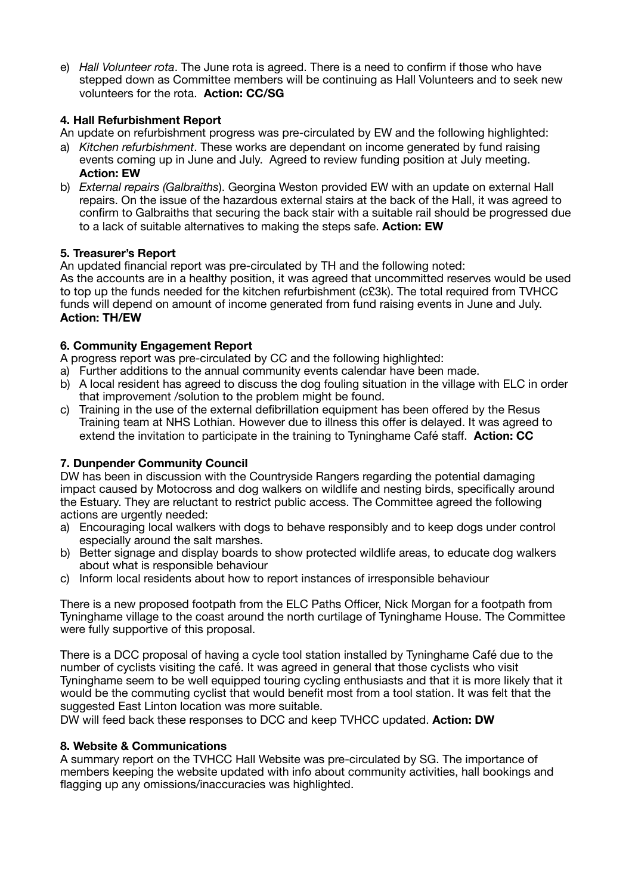e) *Hall Volunteer rota*. The June rota is agreed. There is a need to confirm if those who have stepped down as Committee members will be continuing as Hall Volunteers and to seek new volunteers for the rota. **Action: CC/SG** 

## **4. Hall Refurbishment Report**

An update on refurbishment progress was pre-circulated by EW and the following highlighted:

- a) *Kitchen refurbishment*. These works are dependant on income generated by fund raising events coming up in June and July. Agreed to review funding position at July meeting. **Action: EW**
- b) *External repairs (Galbraiths*). Georgina Weston provided EW with an update on external Hall repairs. On the issue of the hazardous external stairs at the back of the Hall, it was agreed to confirm to Galbraiths that securing the back stair with a suitable rail should be progressed due to a lack of suitable alternatives to making the steps safe. **Action: EW**

#### **5. Treasurer's Report**

An updated financial report was pre-circulated by TH and the following noted:

As the accounts are in a healthy position, it was agreed that uncommitted reserves would be used to top up the funds needed for the kitchen refurbishment (c£3k). The total required from TVHCC funds will depend on amount of income generated from fund raising events in June and July. **Action: TH/EW**

#### **6. Community Engagement Report**

A progress report was pre-circulated by CC and the following highlighted:

- a) Further additions to the annual community events calendar have been made.
- b) A local resident has agreed to discuss the dog fouling situation in the village with ELC in order that improvement /solution to the problem might be found.
- c) Training in the use of the external defibrillation equipment has been offered by the Resus Training team at NHS Lothian. However due to illness this offer is delayed. It was agreed to extend the invitation to participate in the training to Tyninghame Café staff. **Action: CC**

#### **7. Dunpender Community Council**

DW has been in discussion with the Countryside Rangers regarding the potential damaging impact caused by Motocross and dog walkers on wildlife and nesting birds, specifically around the Estuary. They are reluctant to restrict public access. The Committee agreed the following actions are urgently needed:

- a) Encouraging local walkers with dogs to behave responsibly and to keep dogs under control especially around the salt marshes.
- b) Better signage and display boards to show protected wildlife areas, to educate dog walkers about what is responsible behaviour
- c) Inform local residents about how to report instances of irresponsible behaviour

There is a new proposed footpath from the ELC Paths Officer, Nick Morgan for a footpath from Tyninghame village to the coast around the north curtilage of Tyninghame House. The Committee were fully supportive of this proposal.

There is a DCC proposal of having a cycle tool station installed by Tyninghame Café due to the number of cyclists visiting the café. It was agreed in general that those cyclists who visit Tyninghame seem to be well equipped touring cycling enthusiasts and that it is more likely that it would be the commuting cyclist that would benefit most from a tool station. It was felt that the suggested East Linton location was more suitable.

DW will feed back these responses to DCC and keep TVHCC updated. **Action: DW**

#### **8. Website & Communications**

A summary report on the TVHCC Hall Website was pre-circulated by SG. The importance of members keeping the website updated with info about community activities, hall bookings and flagging up any omissions/inaccuracies was highlighted.